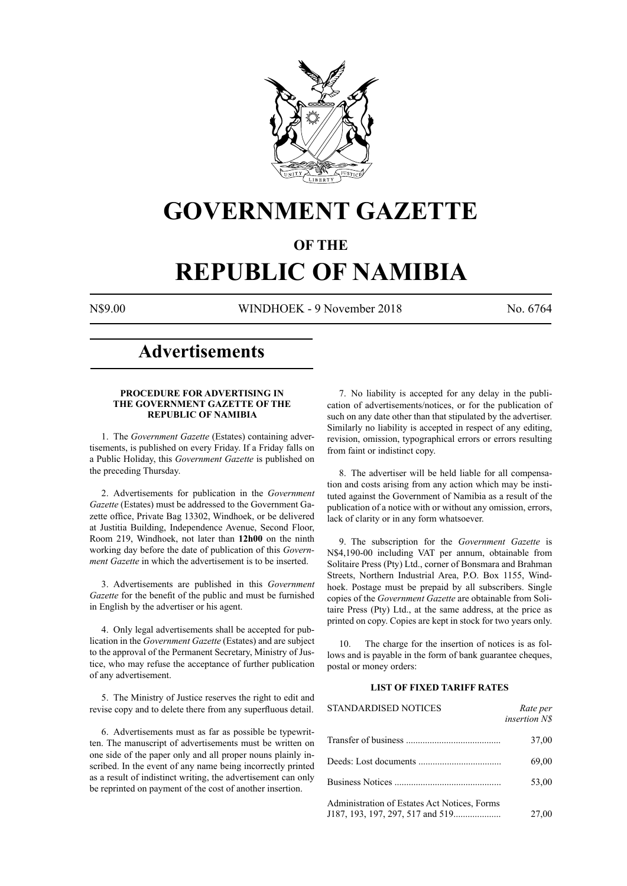

## **GOVERNMENT GAZETTE**

## **OF THE**

# **REPUBLIC OF NAMIBIA**

N\$9.00 WINDHOEK - 9 November 2018 No. 6764

## **Advertisements**

## **PROCEDURE FOR ADVERTISING IN THE GOVERNMENT GAZETTE OF THE REPUBLIC OF NAMIBIA**

1. The *Government Gazette* (Estates) containing advertisements, is published on every Friday. If a Friday falls on a Public Holiday, this *Government Gazette* is published on the preceding Thursday.

2. Advertisements for publication in the *Government Gazette* (Estates) must be addressed to the Government Gazette office, Private Bag 13302, Windhoek, or be delivered at Justitia Building, Independence Avenue, Second Floor, Room 219, Windhoek, not later than **12h00** on the ninth working day before the date of publication of this *Government Gazette* in which the advertisement is to be inserted.

3. Advertisements are published in this *Government Gazette* for the benefit of the public and must be furnished in English by the advertiser or his agent.

4. Only legal advertisements shall be accepted for publication in the *Government Gazette* (Estates) and are subject to the approval of the Permanent Secretary, Ministry of Justice, who may refuse the acceptance of further publication of any advertisement.

5. The Ministry of Justice reserves the right to edit and revise copy and to delete there from any superfluous detail.

6. Advertisements must as far as possible be typewritten. The manuscript of advertisements must be written on one side of the paper only and all proper nouns plainly inscribed. In the event of any name being incorrectly printed as a result of indistinct writing, the advertisement can only be reprinted on payment of the cost of another insertion.

7. No liability is accepted for any delay in the publication of advertisements/notices, or for the publication of such on any date other than that stipulated by the advertiser. Similarly no liability is accepted in respect of any editing, revision, omission, typographical errors or errors resulting from faint or indistinct copy.

8. The advertiser will be held liable for all compensation and costs arising from any action which may be instituted against the Government of Namibia as a result of the publication of a notice with or without any omission, errors, lack of clarity or in any form whatsoever.

9. The subscription for the *Government Gazette* is N\$4,190-00 including VAT per annum, obtainable from Solitaire Press (Pty) Ltd., corner of Bonsmara and Brahman Streets, Northern Industrial Area, P.O. Box 1155, Windhoek. Postage must be prepaid by all subscribers. Single copies of the *Government Gazette* are obtainable from Solitaire Press (Pty) Ltd., at the same address, at the price as printed on copy. Copies are kept in stock for two years only.

10. The charge for the insertion of notices is as follows and is payable in the form of bank guarantee cheques, postal or money orders:

## **LIST OF FIXED TARIFF RATES**

| <b>STANDARDISED NOTICES</b>                  | Rate per<br>insertion N\$ |
|----------------------------------------------|---------------------------|
|                                              | 37,00                     |
|                                              | 69,00                     |
|                                              | 53,00                     |
| Administration of Estates Act Notices, Forms | 27,00                     |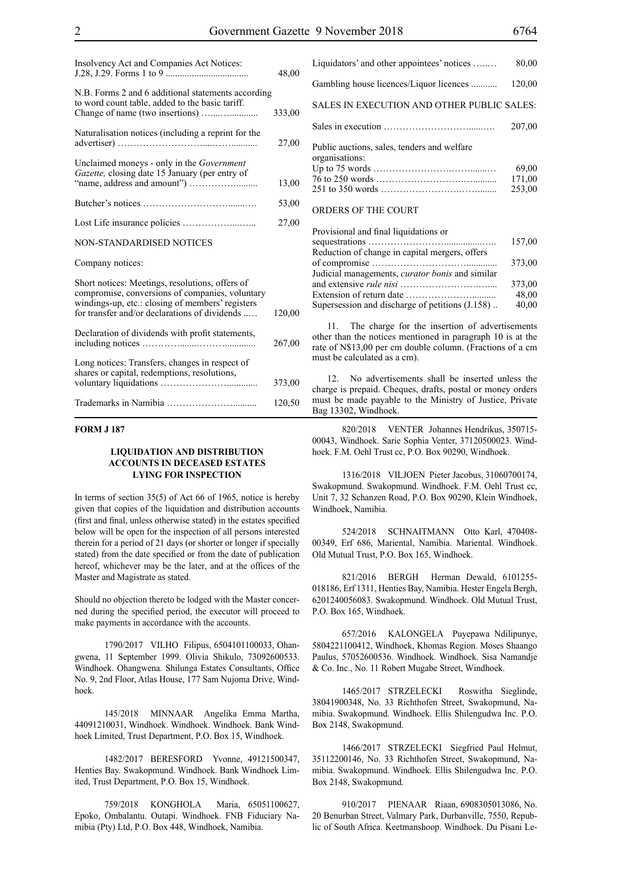| Insolvency Act and Companies Act Notices:                                                                                                                                                               | 48,00  |
|---------------------------------------------------------------------------------------------------------------------------------------------------------------------------------------------------------|--------|
| N.B. Forms 2 and 6 additional statements according<br>to word count table, added to the basic tariff.                                                                                                   | 333,00 |
| Naturalisation notices (including a reprint for the                                                                                                                                                     | 27,00  |
| Unclaimed moneys - only in the <i>Government</i><br>Gazette, closing date 15 January (per entry of                                                                                                      | 13,00  |
|                                                                                                                                                                                                         | 53,00  |
|                                                                                                                                                                                                         | 27,00  |
| NON-STANDARDISED NOTICES                                                                                                                                                                                |        |
| Company notices:                                                                                                                                                                                        |        |
| Short notices: Meetings, resolutions, offers of<br>compromise, conversions of companies, voluntary<br>windings-up, etc.: closing of members' registers<br>for transfer and/or declarations of dividends | 120,00 |
| Declaration of dividends with profit statements,                                                                                                                                                        | 267,00 |
| Long notices: Transfers, changes in respect of<br>shares or capital, redemptions, resolutions,                                                                                                          | 373,00 |
|                                                                                                                                                                                                         | 120,50 |

## **FORM J 187**

## **LIQUIDATION AND DISTRIBUTION ACCOUNTS IN DECEASED ESTATES LYING FOR INSPECTION**

In terms of section 35(5) of Act 66 of 1965, notice is hereby given that copies of the liquidation and distribution accounts (first and final, unless otherwise stated) in the estates specified below will be open for the inspection of all persons interested therein for a period of 21 days (or shorter or longer if specially stated) from the date specified or from the date of publication hereof, whichever may be the later, and at the offices of the Master and Magistrate as stated.

Should no objection thereto be lodged with the Master concerned during the specified period, the executor will proceed to make payments in accordance with the accounts.

1790/2017 VILHO Filipus, 6504101100033, Ohangwena, 11 September 1999. Olivia Shikulo, 73092600533. Windhoek. Ohangwena. Shilunga Estates Consultants, Office No. 9, 2nd Floor, Atlas House, 177 Sam Nujoma Drive, Windhoek.

145/2018 MINNAAR Angelika Emma Martha, 44091210031, Windhoek. Windhoek. Windhoek. Bank Windhoek Limited, Trust Department, P.O. Box 15, Windhoek.

1482/2017 BERESFORD Yvonne, 49121500347, Henties Bay. Swakopmund. Windhoek. Bank Windhoek Limited, Trust Department, P.O. Box 15, Windhoek.

759/2018 KONGHOLA Maria, 65051100627, Epoko, Ombalantu. Outapi. Windhoek. FNB Fiduciary Namibia (Pty) Ltd, P.O. Box 448, Windhoek, Namibia.

| Liquidators' and other appointees' notices                    | 80,00                     |
|---------------------------------------------------------------|---------------------------|
| Gambling house licences/Liquor licences                       | 120,00                    |
| SALES IN EXECUTION AND OTHER PUBLIC SALES:                    |                           |
|                                                               | 207,00                    |
| Public auctions, sales, tenders and welfare<br>organisations: | 69,00<br>171,00<br>253,00 |
| ORDERS OF THE COURT                                           |                           |

| Provisional and final liquidations or                  |        |
|--------------------------------------------------------|--------|
|                                                        | 157,00 |
| Reduction of change in capital mergers, offers         |        |
|                                                        | 373,00 |
| Judicial managements, <i>curator bonis</i> and similar |        |
|                                                        | 373,00 |
|                                                        | 48,00  |
| Supersession and discharge of petitions (J.158)        | 40,00  |
|                                                        |        |

11. The charge for the insertion of advertisements other than the notices mentioned in paragraph 10 is at the rate of N\$13,00 per cm double column. (Fractions of a cm must be calculated as a cm).

12. No advertisements shall be inserted unless the charge is prepaid. Cheques, drafts, postal or money orders must be made payable to the Ministry of Justice, Private Bag 13302, Windhoek.

820/2018 VENTER Johannes Hendrikus, 350715- 00043, Windhoek. Sarie Sophia Venter, 37120500023. Windhoek. F.M. Oehl Trust cc, P.O. Box 90290, Windhoek.

1316/2018 VILJOEN Pieter Jacobus, 31060700174, Swakopmund. Swakopmund. Windhoek. F.M. Oehl Trust cc, Unit 7, 32 Schanzen Road, P.O. Box 90290, Klein Windhoek, Windhoek, Namibia.

524/2018 SCHNAITMANN Otto Karl, 470408- 00349, Erf 686, Mariental, Namibia. Mariental. Windhoek. Old Mutual Trust, P.O. Box 165, Windhoek.

821/2016 BERGH Herman Dewald, 6101255- 018186, Erf 1311, Henties Bay, Namibia. Hester Engela Bergh, 6201240056083. Swakopmund. Windhoek. Old Mutual Trust, P.O. Box 165, Windhoek.

657/2016 KALONGELA Puyepawa Ndilipunye, 5804221100412, Windhoek, Khomas Region. Moses Shaango Paulus, 57052600536. Windhoek. Windhoek. Sisa Namandje & Co. Inc., No. 11 Robert Mugabe Street, Windhoek.

1465/2017 STRZELECKI Roswitha Sieglinde, 38041900348, No. 33 Richthofen Street, Swakopmund, Namibia. Swakopmund. Windhoek. Ellis Shilengudwa Inc. P.O. Box 2148, Swakopmund.

1466/2017 STRZELECKI Siegfried Paul Helmut, 35112200146, No. 33 Richthofen Street, Swakopmund, Namibia. Swakopmund. Windhoek. Ellis Shilengudwa Inc. P.O. Box 2148, Swakopmund.

910/2017 PIENAAR Riaan, 6908305013086, No. 20 Benurban Street, Valmary Park, Durbanville, 7550, Republic of South Africa. Keetmanshoop. Windhoek. Du Pisani Le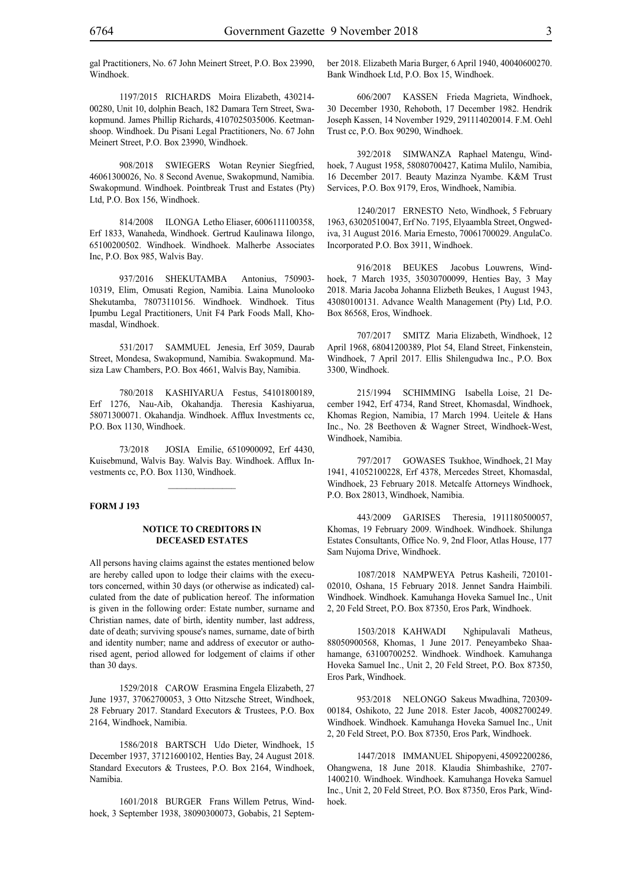gal Practitioners, No. 67 John Meinert Street, P.O. Box 23990, Windhoek.

1197/2015 RICHARDS Moira Elizabeth, 430214- 00280, Unit 10, dolphin Beach, 182 Damara Tern Street, Swakopmund. James Phillip Richards, 4107025035006. Keetmanshoop. Windhoek. Du Pisani Legal Practitioners, No. 67 John Meinert Street, P.O. Box 23990, Windhoek.

908/2018 SWIEGERS Wotan Reynier Siegfried, 46061300026, No. 8 Second Avenue, Swakopmund, Namibia. Swakopmund. Windhoek. Pointbreak Trust and Estates (Pty) Ltd, P.O. Box 156, Windhoek.

814/2008 ILONGA Letho Eliaser, 6006111100358, Erf 1833, Wanaheda, Windhoek. Gertrud Kaulinawa Iilongo, 65100200502. Windhoek. Windhoek. Malherbe Associates Inc, P.O. Box 985, Walvis Bay.

937/2016 SHEKUTAMBA Antonius, 750903- 10319, Elim, Omusati Region, Namibia. Laina Munolooko Shekutamba, 78073110156. Windhoek. Windhoek. Titus Ipumbu Legal Practitioners, Unit F4 Park Foods Mall, Khomasdal, Windhoek.

531/2017 SAMMUEL Jenesia, Erf 3059, Daurab Street, Mondesa, Swakopmund, Namibia. Swakopmund. Masiza Law Chambers, P.O. Box 4661, Walvis Bay, Namibia.

780/2018 KASHIYARUA Festus, 54101800189, Erf 1276, Nau-Aib, Okahandja. Theresia Kashiyarua, 58071300071. Okahandja. Windhoek. Afflux Investments cc, P.O. Box 1130, Windhoek.

73/2018 JOSIA Emilie, 6510900092, Erf 4430, Kuisebmund, Walvis Bay. Walvis Bay. Windhoek. Afflux Investments cc, P.O. Box 1130, Windhoek.

 $\frac{1}{2}$ 

## **FORM J 193**

#### **NOTICE TO CREDITORS IN DECEASED ESTATES**

All persons having claims against the estates mentioned below are hereby called upon to lodge their claims with the executors concerned, within 30 days (or otherwise as indicated) calculated from the date of publication hereof. The information is given in the following order: Estate number, surname and Christian names, date of birth, identity number, last address, date of death; surviving spouse's names, surname, date of birth and identity number; name and address of executor or authorised agent, period allowed for lodgement of claims if other than 30 days.

1529/2018 CAROW Erasmina Engela Elizabeth, 27 June 1937, 37062700053, 3 Otto Nitzsche Street, Windhoek, 28 February 2017. Standard Executors & Trustees, P.O. Box 2164, Windhoek, Namibia.

1586/2018 BARTSCH Udo Dieter, Windhoek, 15 December 1937, 37121600102, Henties Bay, 24 August 2018. Standard Executors & Trustees, P.O. Box 2164, Windhoek, Namibia.

1601/2018 BURGER Frans Willem Petrus, Windhoek, 3 September 1938, 38090300073, Gobabis, 21 September 2018. Elizabeth Maria Burger, 6 April 1940, 40040600270. Bank Windhoek Ltd, P.O. Box 15, Windhoek.

606/2007 KASSEN Frieda Magrieta, Windhoek, 30 December 1930, Rehoboth, 17 December 1982. Hendrik Joseph Kassen, 14 November 1929, 291114020014. F.M. Oehl Trust cc, P.O. Box 90290, Windhoek.

392/2018 SIMWANZA Raphael Matengu, Windhoek, 7 August 1958, 58080700427, Katima Mulilo, Namibia, 16 December 2017. Beauty Mazinza Nyambe. K&M Trust Services, p.o. Box 9179, Eros, Windhoek, Namibia.

1240/2017 ERNESTO Neto, Windhoek, 5 February 1963, 63020510047, Erf No. 7195, Elyaambla Street, Ongwediva, 31 August 2016. Maria Ernesto, 70061700029. AngulaCo. Incorporated P.O. Box 3911, Windhoek.

916/2018 BEUKES Jacobus Louwrens, Windhoek, 7 March 1935, 35030700099, Henties Bay, 3 May 2018. Maria Jacoba Johanna Elizbeth Beukes, 1 August 1943, 43080100131. Advance Wealth Management (Pty) Ltd, P.O. Box 86568, Eros, Windhoek.

707/2017 SMITZ Maria Elizabeth, Windhoek, 12 April 1968, 68041200389, Plot 54, Eland Street, Finkenstein, Windhoek, 7 April 2017. Ellis Shilengudwa Inc., P.O. Box 3300, Windhoek.

215/1994 SCHIMMING Isabella Loise, 21 December 1942, Erf 4734, Rand Street, Khomasdal, Windhoek, Khomas Region, Namibia, 17 March 1994. Ueitele & Hans Inc., No. 28 Beethoven & Wagner Street, Windhoek-West, Windhoek, Namibia.

797/2017 GOWASES Tsukhoe, Windhoek, 21 May 1941, 41052100228, Erf 4378, Mercedes Street, Khomasdal, Windhoek, 23 February 2018. Metcalfe Attorneys Windhoek, P.O. Box 28013, Windhoek, Namibia.

443/2009 GARISES Theresia, 1911180500057, Khomas, 19 February 2009. Windhoek. Windhoek. Shilunga Estates Consultants, Office No. 9, 2nd Floor, Atlas House, 177 Sam Nujoma Drive, Windhoek.

1087/2018 NAMPWEYA Petrus Kasheili, 720101- 02010, Oshana, 15 February 2018. Jennet Sandra Haimbili. Windhoek. Windhoek. Kamuhanga Hoveka Samuel Inc., Unit 2, 20 Feld Street, P.O. Box 87350, Eros Park, Windhoek.

1503/2018 KAHWADI Nghipulavali Matheus, 88050900568, Khomas, 1 June 2017. Peneyambeko Shaahamange, 63100700252. Windhoek. Windhoek. Kamuhanga Hoveka Samuel Inc., Unit 2, 20 Feld Street, P.O. Box 87350, Eros Park, Windhoek.

953/2018 NELONGO Sakeus Mwadhina, 720309- 00184, Oshikoto, 22 June 2018. Ester Jacob, 40082700249. Windhoek. Windhoek. Kamuhanga Hoveka Samuel Inc., Unit 2, 20 Feld Street, P.O. Box 87350, Eros Park, Windhoek.

1447/2018 IMMANUEL Shipopyeni, 45092200286, Ohangwena, 18 June 2018. Klaudia Shimbashike, 2707- 1400210. Windhoek. Windhoek. Kamuhanga Hoveka Samuel Inc., Unit 2, 20 Feld Street, P.O. Box 87350, Eros Park, Windhoek.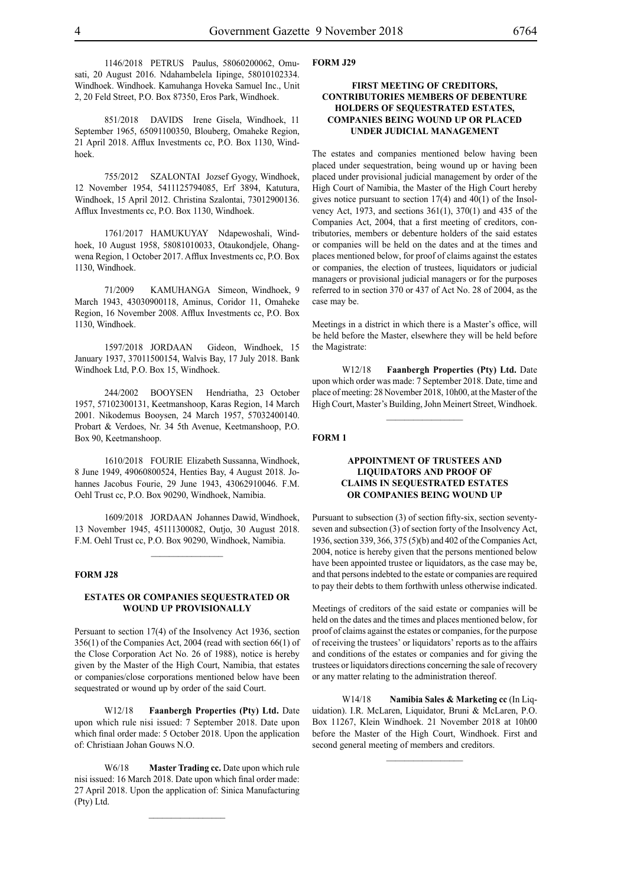1146/2018 PETRUS Paulus, 58060200062, Omusati, 20 August 2016. Ndahambelela Iipinge, 58010102334. Windhoek. Windhoek. Kamuhanga Hoveka Samuel Inc., Unit 2, 20 Feld Street, P.O. Box 87350, Eros Park, Windhoek.

851/2018 DAVIDS Irene Gisela, Windhoek, 11 September 1965, 65091100350, Blouberg, Omaheke Region, 21 April 2018. Afflux Investments cc, P.O. Box 1130, Windhoek.

755/2012 SZALONTAI Jozsef Gyogy, Windhoek, 12 November 1954, 5411125794085, Erf 3894, Katutura, Windhoek, 15 April 2012. Christina Szalontai, 73012900136. Afflux Investments cc, P.O. Box 1130, Windhoek.

1761/2017 HAMUKUYAY Ndapewoshali, Windhoek, 10 August 1958, 58081010033, Otaukondjele, Ohangwena Region, 1 October 2017. Afflux Investments cc, P.O. Box 1130, Windhoek.

71/2009 kamuhanga Simeon, Windhoek, 9 March 1943, 43030900118, Aminus, Coridor 11, Omaheke Region, 16 November 2008. Afflux Investments cc, P.O. Box 1130, Windhoek.

1597/2018 JORDAAN Gideon, Windhoek, 15 January 1937, 37011500154, Walvis Bay, 17 July 2018. Bank Windhoek Ltd, P.O. Box 15, Windhoek.

244/2002 BOOYSEN Hendriatha, 23 October 1957, 57102300131, Keetmanshoop, Karas Region, 14 March 2001. Nikodemus Booysen, 24 March 1957, 57032400140. Probart & Verdoes, Nr. 34 5th Avenue, Keetmanshoop, P.O. Box 90, Keetmanshoop.

1610/2018 FOURIE Elizabeth Sussanna, Windhoek, 8 June 1949, 49060800524, Henties Bay, 4 August 2018. Johannes Jacobus Fourie, 29 June 1943, 43062910046. F.M. Oehl Trust cc, P.O. Box 90290, Windhoek, Namibia.

1609/2018 JORDAAN Johannes Dawid, Windhoek, 13 November 1945, 45111300082, Outjo, 30 August 2018. F.M. Oehl Trust cc, P.O. Box 90290, Windhoek, Namibia.

 $\frac{1}{2}$ 

## **FORM J28**

## **ESTATES OR COMPANIES SEQUESTRATED OR WOUND UP PROVISIONALLY**

Persuant to section 17(4) of the Insolvency Act 1936, section 356(1) of the Companies Act, 2004 (read with section 66(1) of the Close Corporation Act No. 26 of 1988), notice is hereby given by the Master of the High Court, Namibia, that estates or companies/close corporations mentioned below have been sequestrated or wound up by order of the said Court.

W12/18 **Faanbergh Properties (Pty) Ltd.** Date upon which rule nisi issued: 7 September 2018. Date upon which final order made: 5 October 2018. Upon the application of: Christiaan Johan Gouws N.O.

W6/18 **Master Trading cc.** Date upon which rule nisi issued: 16 March 2018. Date upon which final order made: 27 April 2018. Upon the application of: Sinica Manufacturing (Pty) Ltd.

#### **FORM J29**

## **FIRST MEETING OF CREDITORS, CONTRIBUTORIES MEMBERS OF DEBENTURE HOLDERS OF SEQUESTRATED ESTATES, COMPANIES BEING WOUND UP OR PLACED UNDER JUDICIAL MANAGEMENT**

The estates and companies mentioned below having been placed under sequestration, being wound up or having been placed under provisional judicial management by order of the High Court of Namibia, the Master of the High Court hereby gives notice pursuant to section 17(4) and 40(1) of the Insolvency Act, 1973, and sections 361(1), 370(1) and 435 of the Companies Act, 2004, that a first meeting of creditors, contributories, members or debenture holders of the said estates or companies will be held on the dates and at the times and places mentioned below, for proof of claims against the estates or companies, the election of trustees, liquidators or judicial managers or provisional judicial managers or for the purposes referred to in section 370 or 437 of Act No. 28 of 2004, as the case may be.

Meetings in a district in which there is a Master's office, will be held before the Master, elsewhere they will be held before the Magistrate:

W12/18 **Faanbergh Properties (Pty) Ltd.** Date upon which order was made: 7 September 2018. Date, time and place of meeting: 28 November 2018, 10h00, at the Master of the High Court, Master's Building, John Meinert Street, Windhoek.

 $\frac{1}{2}$ 

#### **FORM 1**

## **APPOINTMENT OF TRUSTEES AND LIQUIDATORS AND PROOF OF CLAIMS IN SEQUESTRATED ESTATES OR COMPANIES BEING WOUND UP**

Pursuant to subsection (3) of section fifty-six, section seventyseven and subsection (3) of section forty of the Insolvency Act, 1936, section 339, 366, 375 (5)(b) and 402 of the Companies Act, 2004, notice is hereby given that the persons mentioned below have been appointed trustee or liquidators, as the case may be, and that persons indebted to the estate or companies are required to pay their debts to them forthwith unless otherwise indicated.

Meetings of creditors of the said estate or companies will be held on the dates and the times and places mentioned below, for proof of claims against the estates or companies, for the purpose of receiving the trustees' or liquidators' reports as to the affairs and conditions of the estates or companies and for giving the trustees or liquidators directions concerning the sale of recovery or any matter relating to the administration thereof.

W14/18 **Namibia Sales & Marketing cc** (In Liquidation). I.R. McLaren, Liquidator, Bruni & McLaren, P.O. Box 11267, Klein Windhoek. 21 November 2018 at 10h00 before the Master of the High Court, Windhoek. First and second general meeting of members and creditors.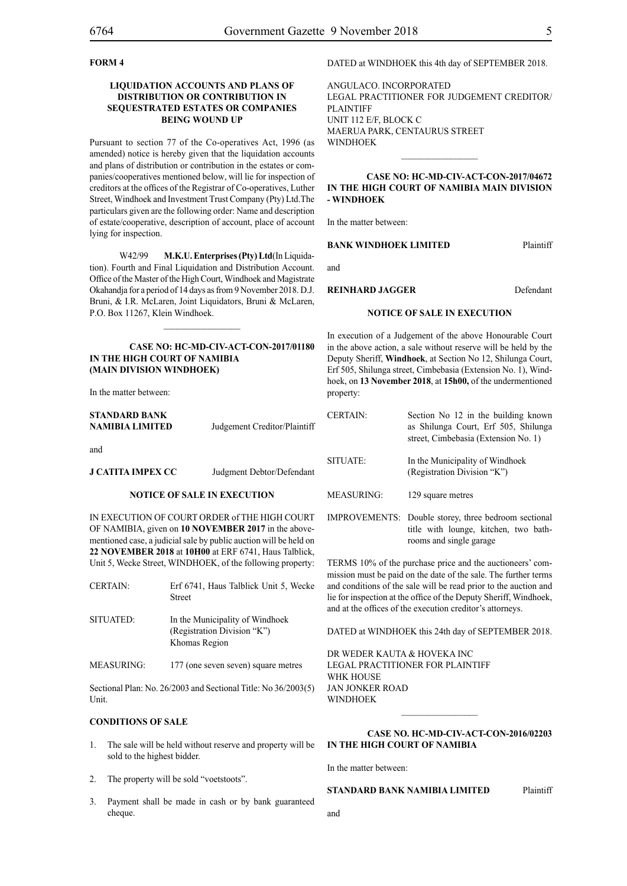## **FORM 4**

## **LIQUIDATION ACCOUNTS AND PLANS OF DISTRIBUTION OR CONTRIBUTION IN SEQUESTRATED ESTATES OR COMPANIES BEING WOUND UP**

Pursuant to section 77 of the Co-operatives Act, 1996 (as amended) notice is hereby given that the liquidation accounts and plans of distribution or contribution in the estates or companies/cooperatives mentioned below, will lie for inspection of creditors at the offices of the Registrar of Co-operatives, Luther Street, Windhoek and Investment Trust Company (Pty) Ltd.The particulars given are the following order: Name and description of estate/cooperative, description of account, place of account lying for inspection.

W42/99 **M.K.U. Enterprises (Pty) Ltd**(In Liquidation). Fourth and Final Liquidation and Distribution Account. Office of the Master of the High Court, Windhoek and Magistrate Okahandja for a period of 14 days as from 9 November 2018. D.J. Bruni, & I.R. McLaren, Joint Liquidators, Bruni & McLaren, P.O. Box 11267, Klein Windhoek.

## **CASE NO: HC-MD-CIV-ACT-CON-2017/01180 IN THE HIGH COURT OF NAMIBIA (Main Division Windhoek)**

 $\frac{1}{2}$ 

In the matter between:

| <b>STANDARD BANK</b> |                              |
|----------------------|------------------------------|
| NAMIBIA LIMITED      | Judgement Creditor/Plaintiff |

and

**J CATITA IMPEX CC** Judgment Debtor/Defendant

#### **NOTICE OF SALE IN EXECUTION**

IN EXECUTION OF COURT ORDER of THE HIGH COURT OF NAMIBIA, given on **10 NOVEMBER 2017** in the abovementioned case, a judicial sale by public auction will be held on **22 NOVEMBER 2018** at **10H00** at ERF 6741, Haus Talblick, Unit 5, Wecke Street, WINDHOEK, of the following property:

| <b>CERTAIN:</b> | Erf 6741, Haus Talblick Unit 5, Wecke<br><b>Street</b>                          |
|-----------------|---------------------------------------------------------------------------------|
| SITUATED:       | In the Municipality of Windhoek<br>(Registration Division "K")<br>Khomas Region |

MEASURING: 177 (one seven seven) square metres

Sectional Plan: No. 26/2003 and Sectional Title: No 36/2003(5) Unit.

## **CONDITIONS OF SALE**

- 1. The sale will be held without reserve and property will be sold to the highest bidder.
- 2. The property will be sold "voetstoots".
- 3. Payment shall be made in cash or by bank guaranteed cheque.

DATED at WINDHOEK this 4th day of SEPTEMBER 2018.

AngulaCo. Incorporated legal practitioner for judgement creditor/ **PLAINTIFF** Unit 112 E/F, Block C Maerua Park, Centaurus Street **WINDHOEK** 

## **CASE NO: HC-MD-CIV-ACT-CON-2017/04672 IN THE HIGH COURT OF NAMIBIA MAIN DIVISION - WINDHOEK**

 $\frac{1}{2}$ 

In the matter between:

#### **BANK WINDHOEK LIMITED** Plaintiff

and

## **REINHARD JAGGER** Defendant

#### **NOTICE OF SALE IN EXECUTION**

In execution of a Judgement of the above Honourable Court in the above action, a sale without reserve will be held by the Deputy Sheriff, **Windhoek**, at Section No 12, Shilunga Court, Erf 505, Shilunga street, Cimbebasia (Extension No. 1), Windhoek, on **13 November 2018**, at **15h00,** of the undermentioned property:

| <b>CERTAIN:</b>   | Section No 12 in the building known<br>as Shilunga Court, Erf 505, Shilunga<br>street, Cimbebasia (Extension No. 1)      |
|-------------------|--------------------------------------------------------------------------------------------------------------------------|
| SITUATE:          | In the Municipality of Windhoek<br>(Registration Division "K")                                                           |
| <b>MEASURING:</b> | 129 square metres                                                                                                        |
|                   | IMPROVEMENTS: Double storey, three bedroom sectional<br>title with lounge, kitchen, two bath-<br>rooms and single garage |

TERMS 10% of the purchase price and the auctioneers' commission must be paid on the date of the sale. The further terms and conditions of the sale will be read prior to the auction and lie for inspection at the office of the Deputy Sheriff, Windhoek, and at the offices of the execution creditor's attorneys.

DATED at WINDHOEK this 24th day of SEPTEMBER 2018.

DR WEDER KAUTA & HOVEKA INC Legal Practitioner for Plaintiff WHK HOUSE Jan Jonker Road WINDHOEK

## **CASE NO. HC-MD-CIV-ACT-CON-2016/02203 IN THE HIGH COURT OF NAMIBIA**

 $\frac{1}{2}$ 

In the matter between:

**STANDARD BANK NAMIBIA LIMITED** Plaintiff

and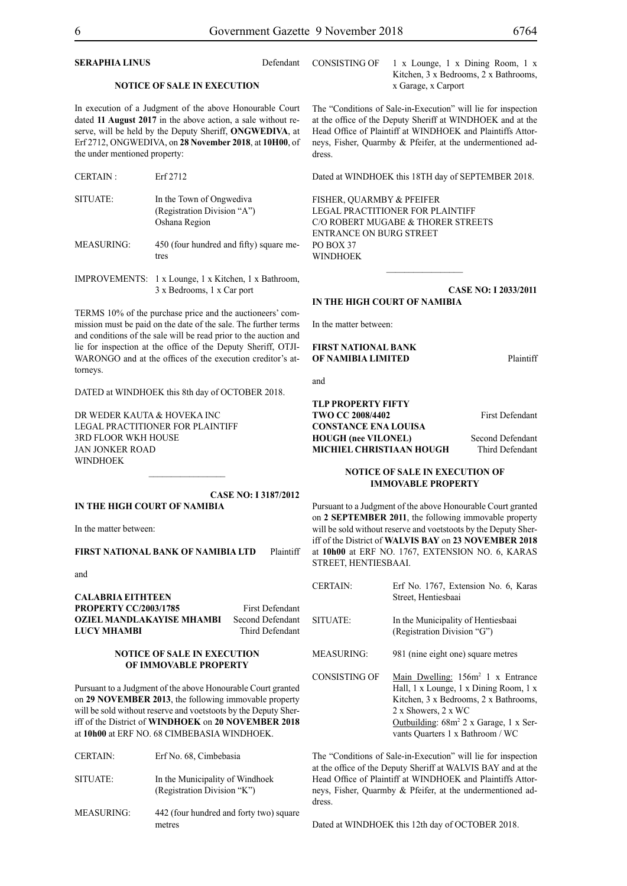## **SERAPHIA LINUS** Defendant

#### **NOTICE OF SALE IN EXECUTION**

In execution of a Judgment of the above Honourable Court dated **11 August 2017** in the above action, a sale without reserve, will be held by the Deputy Sheriff, **ONGWEDIVA**, at Erf 2712, ONGWEDIVA, on **28 November 2018**, at **10H00**, of the under mentioned property:

| <b>CERTAIN:</b>   | Erf 2712                                                                 |
|-------------------|--------------------------------------------------------------------------|
| SITUATE:          | In the Town of Ongwediva<br>(Registration Division "A")<br>Oshana Region |
| <b>MEASURING:</b> | 450 (four hundred and fifty) square me-<br>tres                          |

IMPROVEMENTS: 1 x Lounge, 1 x Kitchen, 1 x Bathroom, 3 x Bedrooms, 1 x Car port

TERMS 10% of the purchase price and the auctioneers' commission must be paid on the date of the sale. The further terms and conditions of the sale will be read prior to the auction and lie for inspection at the office of the Deputy Sheriff, OTJI-WARONGO and at the offices of the execution creditor's attorneys.

DATED at WINDHOEK this 8th day of OCTOBER 2018.

DR WEDER KAUTA & HOVEKA INC Legal Practitioner for Plaintiff 3rd Floor WKH House Jan Jonker Road WINDHOEK

#### **CASE NO: I 3187/2012 IN THE HIGH COURT OF NAMIBIA**

 $\frac{1}{2}$ 

In the matter between:

#### **FIRST NATIONAL BANK OF NAMIBIA LTD** Plaintiff

and

**CALABRIA EITHTEEN PROPERTY CC/2003/1785** First Defendant **OZIEL MANDLAKAYISE MHAMBI** Second Defendant **LUCY MHAMBI** Third Defendant

## **NOTICE OF SALE IN EXECUTION OF IMMOVABLE PROPERTY**

Pursuant to a Judgment of the above Honourable Court granted on **29 NOVEMBER 2013**, the following immovable property will be sold without reserve and voetstoots by the Deputy Sheriff of the District of **WINDHOEK** on **20 NOVEMBER 2018** at **10h00** at ERF NO. 68 CIMBEBASIA WINDHOEK.

| <b>CERTAIN:</b>   | Erf No. 68, Cimbebasia                                         |
|-------------------|----------------------------------------------------------------|
| SITUATE:          | In the Municipality of Windhoek<br>(Registration Division "K") |
| <b>MEASURING:</b> | 442 (four hundred and forty two) square<br>metres              |

CONSISTING OF 1 x Lounge, 1 x Dining Room, 1 x Kitchen, 3 x Bedrooms, 2 x Bathrooms, x Garage, x Carport

The "Conditions of Sale-in-Execution" will lie for inspection at the office of the Deputy Sheriff at WINDHOEK and at the Head Office of Plaintiff at WINDHOEK and Plaintiffs Attorneys, Fisher, Quarmby & Pfeifer, at the undermentioned address.

Dated at WINDHOEK this 18TH day of SEPTEMBER 2018.

FISHER, QUARMBY & PFEIFER LEGAL PRACTITIONER FOR Plaintiff c/o Robert Mugabe & Thorer Streets entrance on Burg Street PO BOX 37 WINDHOEK

**CASE NO: I 2033/2011 IN THE HIGH COURT OF NAMIBIA**

 $\frac{1}{2}$ 

In the matter between:

**FIRST NATIONAL BANK OF NAMIBIA LIMITED** Plaintiff

and

## **TLP PROPERTY FIFTY TWO CC 2008/4402** First Defendant **CONSTANCE ENA LOUISA HOUGH (nee VILONEL)** Second Defendant **MICHIEL CHRISTIAAN HOUGH Third Defendant**

## **NOTICE OF SALE IN EXECUTION OF IMMOVABLE PROPERTY**

Pursuant to a Judgment of the above Honourable Court granted on **2 SEPTEMBER 2011**, the following immovable property will be sold without reserve and voetstoots by the Deputy Sheriff of the District of **WALVIS BAY** on **23 NOVEMBER 2018**  at **10h00** at ERF NO. 1767, EXTENSION NO. 6, KARAS STREET, HENTIESBAAI.

| <b>CERTAIN:</b>   | Erf No. 1767, Extension No. 6, Karas<br>Street, Hentiesbaai                                                                                                                                                                              |
|-------------------|------------------------------------------------------------------------------------------------------------------------------------------------------------------------------------------------------------------------------------------|
| SITUATE:          | In the Municipality of Hentiesbaai<br>(Registration Division "G")                                                                                                                                                                        |
| <b>MEASURING:</b> | 981 (nine eight one) square metres                                                                                                                                                                                                       |
| CONSISTING OF     | Main Dwelling: 156m <sup>2</sup> 1 x Entrance<br>Hall, 1 x Lounge, 1 x Dining Room, 1 x<br>Kitchen, 3 x Bedrooms, 2 x Bathrooms,<br>2 x Showers, 2 x WC<br>Outbuilding: $68m^2$ 2 x Garage, 1 x Ser-<br>vants Quarters 1 x Bathroom / WC |

The "Conditions of Sale-in-Execution" will lie for inspection at the office of the Deputy Sheriff at WALVIS BAY and at the Head Office of Plaintiff at WINDHOEK and Plaintiffs Attorneys, Fisher, Quarmby & Pfeifer, at the undermentioned address.

Dated at WINDHOEK this 12th day of OCTOBER 2018.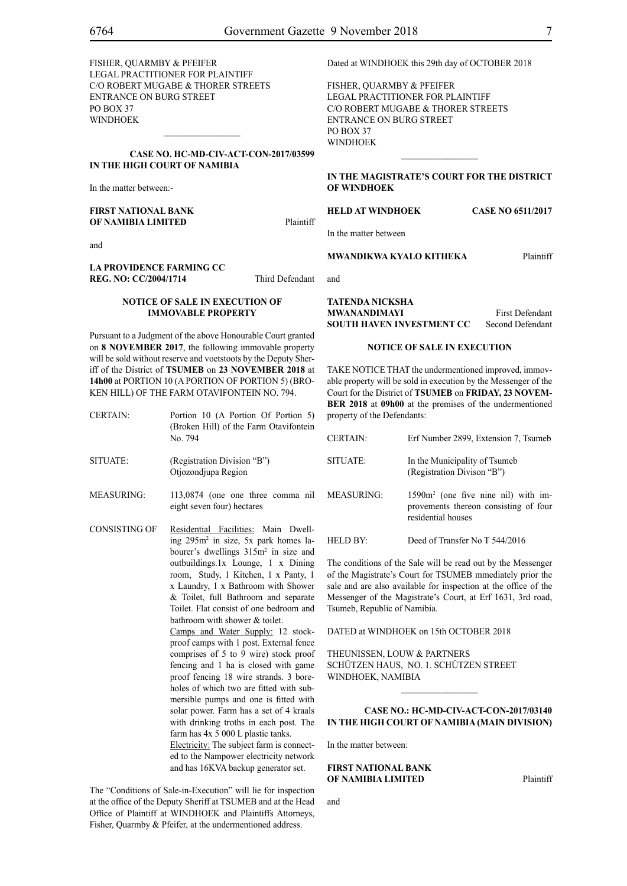FISHER, QUARMBY & PFEIFER LEGAL PRACTITIONER FOR Plaintiff c/o Robert Mugabe & Thorer Streets entrance on Burg Street PO BOX 37 WINDHOEK

## **CASE No. HC-MD-CIV-ACT-CON-2017/03599 IN THE HIGH COURT OF NAMIBIA**

 $\frac{1}{2}$ 

In the matter between:-

**FIRST NATIONAL BANK OF NAMIBIA LIMITED** Plaintiff

and

#### **LA PROVIDENCE FARMING CC REG. NO: CC/2004/1714** Third Defendant

#### **NOTICE OF SALE IN EXECUTION OF IMMOVABLE PROPERTY**

Pursuant to a Judgment of the above Honourable Court granted on **8 NOVEMBER 2017**, the following immovable property will be sold without reserve and voetstoots by the Deputy Sheriff of the District of **TSUMEB** on **23 NOVEMBER 2018** at **14h00** at PORTION 10 (A PORTION OF PORTION 5) (BRO-KEN HILL) OF THE FARM OTAVIFONTEIN NO. 794.

| <b>CERTAIN:</b> | Portion 10 (A Portion Of Portion 5)<br>(Broken Hill) of the Farm Otavifontein<br>No. 794 |  |
|-----------------|------------------------------------------------------------------------------------------|--|
| SITUATE:        | (Registration Division "B")<br>Otjozondjupa Region                                       |  |
| MEASURING:      | 113,0874 (one one three comma nil                                                        |  |

- eight seven four) hectares
- CONSISTING OF Residential Facilities: Main Dwelling 295m2 in size, 5x park homes labourer's dwellings 315m<sup>2</sup> in size and outbuildings.1x Lounge, 1 x Dining room, Study, 1 Kitchen, 1 x Panty, 1 x Laundry, 1 x Bathroom with Shower & Toilet, full Bathroom and separate Toilet. Flat consist of one bedroom and bathroom with shower & toilet. Camps and Water Supply: 12 stockproof camps with 1 post. External fence comprises of 5 to 9 wire) stock proof fencing and 1 ha is closed with game proof fencing 18 wire strands. 3 boreholes of which two are fitted with submersible pumps and one is fitted with solar power. Farm has a set of 4 kraals with drinking troths in each post. The farm has 4x 5 000 L plastic tanks. Electricity: The subject farm is connect-

ed to the Nampower electricity network and has 16KVA backup generator set.

The "Conditions of Sale-in-Execution" will lie for inspection at the office of the Deputy Sheriff at TSUMEB and at the Head Office of Plaintiff at WINDHOEK and Plaintiffs Attorneys, Fisher, Quarmby & Pfeifer, at the undermentioned address.

Dated at WINDHOEK this 29th day of OCTOBER 2018

FISHER, QUARMBY & PFEIFER LEGAL PRACTITIONER FOR Plaintiff c/o Robert Mugabe & Thorer Streets entrance on Burg Street PO BOX 37 WINDHOEK

## **IN THE MAGISTRATE'S COURT FOR THE DISTRICT OF WINDHOEK**

 $\frac{1}{2}$ 

## **HELD AT WINDHOEK Case No 6511/2017**

In the matter between

## **MWANDIKWA KYALO KITHEKA** Plaintiff

and

**TATENDA NICKSHA MWANANDIMAYI** First Defendant **SOUTH HAVEN INVESTMENT CC** Second Defendant

#### **NOTICE OF SALE IN EXECUTION**

TAKE NOTICE THAT the undermentioned improved, immovable property will be sold in execution by the Messenger of the Court for the District of **TSUMEB** on **FRIDAY, 23 NOVEM-BER 2018** at **09h00** at the premises of the undermentioned property of the Defendants:

| <b>CERTAIN:</b>   | Erf Number 2899, Extension 7, Tsumeb                                                                 |
|-------------------|------------------------------------------------------------------------------------------------------|
| SITUATE:          | In the Municipality of Tsumeb<br>(Registration Divison "B")                                          |
| <b>MEASURING:</b> | $1590m2$ (one five nine nil) with im-<br>provements thereon consisting of four<br>residential houses |
|                   |                                                                                                      |

HELD BY: Deed of Transfer No T 544/2016

The conditions of the Sale will be read out by the Messenger of the Magistrate's Court for TSUMEB mmediately prior the sale and are also available for inspection at the office of the Messenger of the Magistrate's Court, at Erf 1631, 3rd road, Tsumeb, Republic of Namibia.

DATED at WINDHOEK on 15th OCTOBER 2018

THEUNISSEN, LOUW & PARTNERS Schützen Haus, No. 1. Schützen Street WINDHOEK, NAMIBIA

## **CASE NO.: HC-MD-CIV-ACT-CON-2017/03140 IN THE HIGH COURT OF NAMIBIA (Main Division)**

 $\mathcal{L}_\text{max}$ 

In the matter between:

## **FIRST NATIONAL BANK OF NAMIBIA LIMITED** Plaintiff

and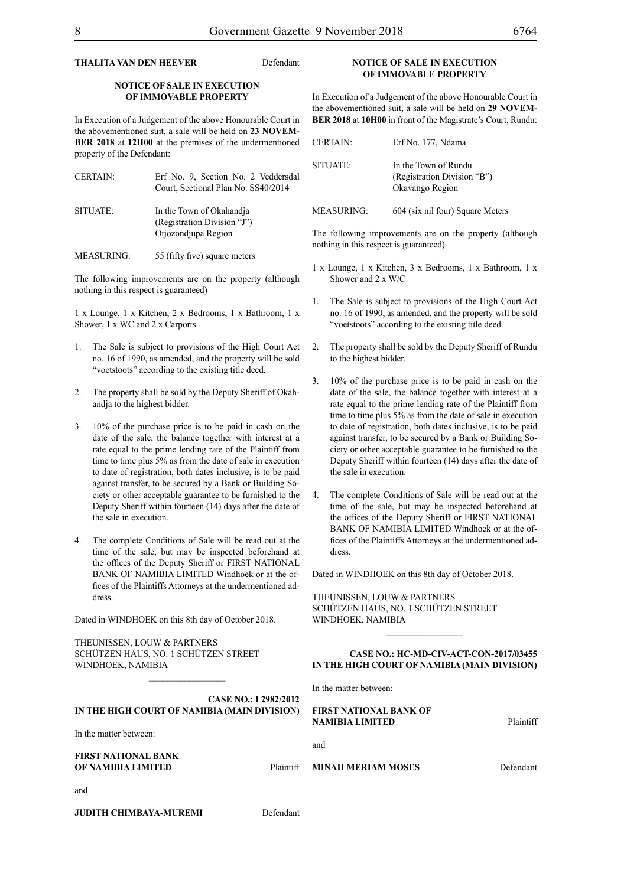## **THALITA VAN DEN HEEVER** Defendant

## **NOTICE OF SALE IN EXECUTION OF IMMOVABLE PROPERTY**

In Execution of a Judgement of the above Honourable Court in the abovementioned suit, a sale will be held on **23 NOVEM-BER 2018** at **12H00** at the premises of the undermentioned property of the Defendant:

| <b>CERTAIN:</b> | Erf No. 9, Section No. 2 Veddersdal<br>Court, Sectional Plan No. SS40/2014 |
|-----------------|----------------------------------------------------------------------------|
| SITUATE:        | In the Town of Okahandia<br>(Registration Division "J")                    |
|                 | Otjozondjupa Region                                                        |

MEASURING: 55 (fifty five) square meters

The following improvements are on the property (although nothing in this respect is guaranteed)

1 x Lounge, 1 x Kitchen, 2 x Bedrooms, 1 x Bathroom, 1 x Shower, 1 x WC and 2 x Carports

- 1. The Sale is subject to provisions of the High Court Act no. 16 of 1990, as amended, and the property will be sold "voetstoots" according to the existing title deed.
- 2. The property shall be sold by the Deputy Sheriff of Okahandja to the highest bidder.
- 3. 10% of the purchase price is to be paid in cash on the date of the sale, the balance together with interest at a rate equal to the prime lending rate of the Plaintiff from time to time plus 5% as from the date of sale in execution to date of registration, both dates inclusive, is to be paid against transfer, to be secured by a Bank or Building Society or other acceptable guarantee to be furnished to the Deputy Sheriff within fourteen (14) days after the date of the sale in execution.
- The complete Conditions of Sale will be read out at the time of the sale, but may be inspected beforehand at the offices of the Deputy Sheriff or FIRST NATIONAL BANK OF NAMIBIA LIMITED Windhoek or at the offices of the Plaintiffs Attorneys at the undermentioned address.

Dated in WINDHOEK on this 8th day of October 2018.

THEUNISSEN, LOUW & PARTNERS Schützen Haus, No. 1 Schützen Street WINDHOEK, NAMIBIA

## **NOTICE OF SALE IN EXECUTION OF IMMOVABLE PROPERTY**

In Execution of a Judgement of the above Honourable Court in the abovementioned suit, a sale will be held on **29 NOVEM-BER 2018** at **10H00** in front of the Magistrate's Court, Rundu:

| <b>CERTAIN:</b> | Erf No. 177, Ndama                                                     |
|-----------------|------------------------------------------------------------------------|
| SITUATE:        | In the Town of Rundu<br>(Registration Division "B")<br>Okavango Region |

MEASURING: 604 (six nil four) Square Meters

The following improvements are on the property (although nothing in this respect is guaranteed)

- 1 x Lounge, 1 x Kitchen, 3 x Bedrooms, 1 x Bathroom, 1 x Shower and 2 x W/C
- 1. The Sale is subject to provisions of the High Court Act no. 16 of 1990, as amended, and the property will be sold "voetstoots" according to the existing title deed.
- 2. The property shall be sold by the Deputy Sheriff of Rundu to the highest bidder.
- 3. 10% of the purchase price is to be paid in cash on the date of the sale, the balance together with interest at a rate equal to the prime lending rate of the Plaintiff from time to time plus 5% as from the date of sale in execution to date of registration, both dates inclusive, is to be paid against transfer, to be secured by a Bank or Building Society or other acceptable guarantee to be furnished to the Deputy Sheriff within fourteen (14) days after the date of the sale in execution.
- 4. The complete Conditions of Sale will be read out at the time of the sale, but may be inspected beforehand at the offices of the Deputy Sheriff or FIRST NATIONAL BANK OF NAMIBIA LIMITED Windhoek or at the offices of the Plaintiffs Attorneys at the undermentioned address.

Dated in WINDHOEK on this 8th day of October 2018.

THEUNISSEN, LOUW & PARTNERS Schützen Haus, No. 1 Schützen Street WINDHOEK, NAMIBIA

## **CASE NO.: HC-MD-CIV-ACT-CON-2017/03455 IN THE HIGH COURT OF NAMIBIA (Main Division)**

 $\frac{1}{2}$ 

In the matter between:

| <b>CASE NO.: I 2982/2012</b>                 |                                                         |           |
|----------------------------------------------|---------------------------------------------------------|-----------|
| IN THE HIGH COURT OF NAMIBIA (MAIN DIVISION) | <b>FIRST NATIONAL BANK OF</b><br><b>NAMIBIA LIMITED</b> | Plaintiff |
| In the matter between:                       |                                                         |           |
|                                              | and                                                     |           |
| <b>FIRST NATIONAL BANK</b>                   |                                                         |           |
| OF NAMIBIA LIMITED<br><b>Plaintiff</b>       | <b>MINAH MERIAM MOSES</b>                               | Defendant |
| and                                          |                                                         |           |

**JUDITH CHIMBAYA-MUREMI** Defendant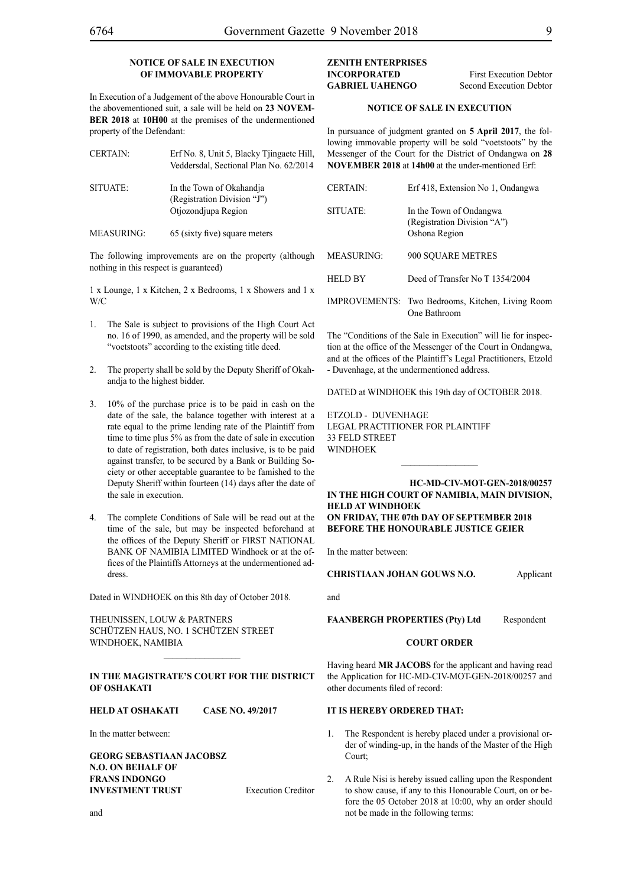## **NOTICE OF SALE IN EXECUTION OF IMMOVABLE PROPERTY**

In Execution of a Judgement of the above Honourable Court in the abovementioned suit, a sale will be held on **23 NOVEM-BER 2018** at **10H00** at the premises of the undermentioned property of the Defendant:

| <b>CERTAIN:</b>   | Erf No. 8, Unit 5, Blacky Tjingaete Hill,<br>Veddersdal, Sectional Plan No. 62/2014 |
|-------------------|-------------------------------------------------------------------------------------|
| SITUATE:          | In the Town of Okahandja<br>(Registration Division "J")<br>Otjozondjupa Region      |
| <b>MEASURING:</b> | 65 (sixty five) square meters                                                       |

The following improvements are on the property (although nothing in this respect is guaranteed)

1 x Lounge, 1 x Kitchen, 2 x Bedrooms, 1 x Showers and 1 x W/C

- 1. The Sale is subject to provisions of the High Court Act no. 16 of 1990, as amended, and the property will be sold "voetstoots" according to the existing title deed.
- 2. The property shall be sold by the Deputy Sheriff of Okahandja to the highest bidder.
- 3. 10% of the purchase price is to be paid in cash on the date of the sale, the balance together with interest at a rate equal to the prime lending rate of the Plaintiff from time to time plus 5% as from the date of sale in execution to date of registration, both dates inclusive, is to be paid against transfer, to be secured by a Bank or Building Society or other acceptable guarantee to be famished to the Deputy Sheriff within fourteen (14) days after the date of the sale in execution.
- 4. The complete Conditions of Sale will be read out at the time of the sale, but may be inspected beforehand at the offices of the Deputy Sheriff or FIRST NATIONAL BANK OF NAMIBIA LIMITED Windhoek or at the offices of the Plaintiffs Attorneys at the undermentioned address.

Dated in WINDHOEK on this 8th day of October 2018.

THEUNISSEN, LOUW & PARTNERS Schützen Haus, No. 1 Schützen Street WINDHOEK, NAMIBIA

## **In the MAGISTRATE'S COURT for the DISTRICT of OSHAKATI**

 $\frac{1}{2}$ 

## **HELD at OSHAKATI Case No. 49/2017**

In the matter between:

**GEORG SEBASTIAAN JACOBSZ N.O. ON BEHALF OF FRANS INDONGO INVESTMENT TRUST** Execution Creditor **ZENITH ENTERPRISES INCORPORATED** First Execution Debtor **GABRIEL UAHENGO** Second Execution Debtor

## **NOTICE OF SALE IN EXECUTION**

In pursuance of judgment granted on **5 April 2017**, the following immovable property will be sold "voetstoots" by the Messenger of the Court for the District of Ondangwa on **28 NOVEMBER 2018** at **14h00** at the under-mentioned Erf:

| <b>CERTAIN:</b> | Erf 418, Extension No 1, Ondangwa                                       |
|-----------------|-------------------------------------------------------------------------|
| SITUATE:        | In the Town of Ondangwa<br>(Registration Division "A")<br>Oshona Region |
| MEASURING:      | 900 SQUARE METRES                                                       |
| HELD BY         | Deed of Transfer No T 1354/2004                                         |
|                 | IMPROVEMENTS: Two Bedrooms, Kitchen, Living Room<br>One Bathroom        |
|                 |                                                                         |

The "Conditions of the Sale in Execution" will lie for inspection at the office of the Messenger of the Court in Ondangwa, and at the offices of the Plaintiff's Legal Practitioners, Etzold - Duvenhage, at the undermentioned address.

DATED at WINDHOEK this 19th day of OCTOBER 2018.

ETZOLD - DUVENHAGE LEGAL PRACTITIONER FOR Plaintiff 33 FELD STREET WINDHOEK

## **HC-MD-CIV-MOT-GEN-2018/00257 IN THE HIGH COURT OF NAMIBIA, MAIN DIVISION, HELD AT WINDHOEK ON FRIDAY, THE 07th DAY OF SEPTEMBER 2018 BEFORE THE HONOURABLE JUSTICE GEIER**

 $\frac{1}{2}$ 

In the matter between:

**CHRISTIAAN JOHAN GOUWS N.O.** Applicant

and

FAANBERGH PROPERTIES (Pty) Ltd Respondent

## **COURT ORDER**

Having heard **MR JACOBS** for the applicant and having read the Application for HC-MD-CIV-MOT-GEN-2018/00257 and other documents filed of record:

## **IT IS HEREBY ORDERED THAT:**

- 1. The Respondent is hereby placed under a provisional order of winding-up, in the hands of the Master of the High Court;
- 2. A Rule Nisi is hereby issued calling upon the Respondent to show cause, if any to this Honourable Court, on or before the 05 October 2018 at 10:00, why an order should not be made in the following terms:

and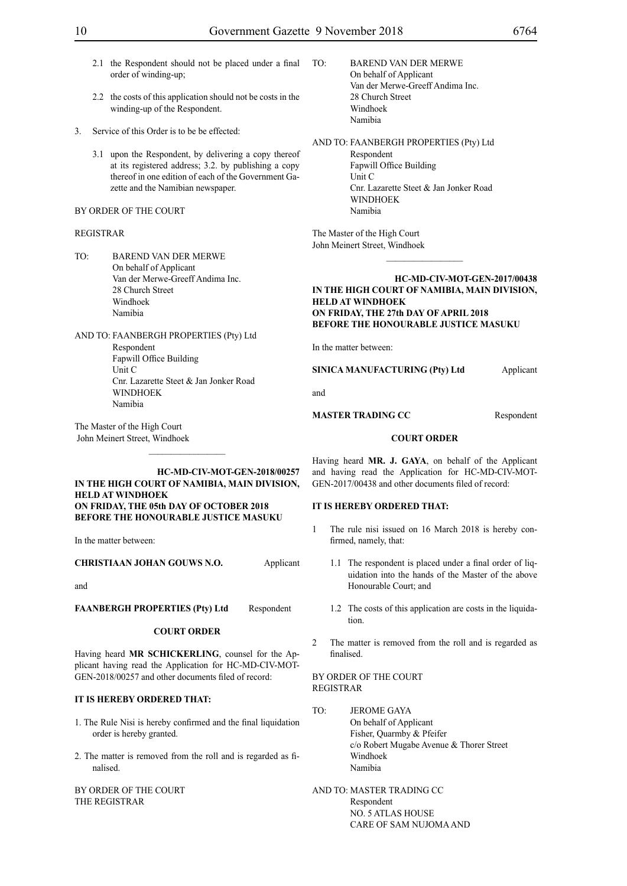- 2.1 the Respondent should not be placed under a final order of winding-up;
- 2.2 the costs of this application should not be costs in the winding-up of the Respondent.
- 3. Service of this Order is to be be effected:
	- 3.1 upon the Respondent, by delivering a copy thereof at its registered address; 3.2. by publishing a copy thereof in one edition of each of the Government Gazette and the Namibian newspaper.
- BY ORDER OF THE COURT

## REGISTRAR

- TO: BAREND VAN DER MERWE On behalf of Applicant Van der Merwe-Greeff Andima Inc. 28 Church Street Windhoek Namibia
- AND TO: FAANBERGH PROPERTIES (Pty) Ltd Respondent Fapwill Office Building Unit C Cnr. Lazarette Steet & Jan Jonker Road WINDHOEK Namibia

The Master of the High Court John Meinert Street, Windhoek

## **HC-MD-CIV-MOT-GEN-2018/00257 IN THE HIGH COURT OF NAMIBIA, MAIN DIVISION, HELD AT WINDHOEK ON FRIDAY, THE 05th DAY OF OCTOBER 2018 BEFORE THE HONOURABLE JUSTICE MASUKU**

In the matter between:

**CHRISTIAAN JOHAN GOUWS N.O.** Applicant

and

**FAANBERGH PROPERTIES (Pty) Ltd** Respondent

#### **COURT ORDER**

Having heard **MR SCHICKERLING**, counsel for the Applicant having read the Application for HC-MD-CIV-MOT-GEN-2018/00257 and other documents filed of record:

## **IT IS HEREBY ORDERED THAT:**

- 1. The Rule Nisi is hereby confirmed and the final liquidation order is hereby granted.
- 2. The matter is removed from the roll and is regarded as finalised.

BY ORDER OF THE COURT THE REGISTRAR

TO: BAREND VAN DER MERWE On behalf of Applicant Van der Merwe-Greeff Andima Inc. 28 Church Street Windhoek Namibia

AND TO: FAANBERGH PROPERTIES (Pty) Ltd Respondent Fapwill Office Building Unit C Cnr. Lazarette Steet & Jan Jonker Road **WINDHOEK** Namibia

The Master of the High Court John Meinert Street, Windhoek

## **HC-MD-CIV-MOT-GEN-2017/00438 IN THE HIGH COURT OF NAMIBIA, MAIN DIVISION, HELD AT WINDHOEK ON FRIDAY, THE 27th DAY OF APRIL 2018 BEFORE THE HONOURABLE JUSTICE MASUKU**

 $\frac{1}{2}$ 

In the matter between:

**SINICA MANUFACTURING (Pty) Ltd** Applicant

and

**MASTER TRADING CC** Respondent

#### **COURT ORDER**

Having heard **MR. J. GAYA**, on behalf of the Applicant and having read the Application for HC-MD-CIV-MOT-GEN-2017/00438 and other documents filed of record:

## **IT IS HEREBY ORDERED THAT:**

- 1 The rule nisi issued on 16 March 2018 is hereby confirmed, namely, that:
	- 1.1 The respondent is placed under a final order of liquidation into the hands of the Master of the above Honourable Court; and
	- 1.2 The costs of this application are costs in the liquidation.
- 2 The matter is removed from the roll and is regarded as finalised.

## BY ORDER OF THE COURT REGISTRAR

- TO: JEROME GAYA On behalf of Applicant Fisher, Quarmby & Pfeifer c/o Robert Mugabe Avenue & Thorer Street Windhoek Namibia
- AND TO: MASTER TRADING CC Respondent NO. 5 ATLAS HOUSE CARE OF SAM NUJOMA AND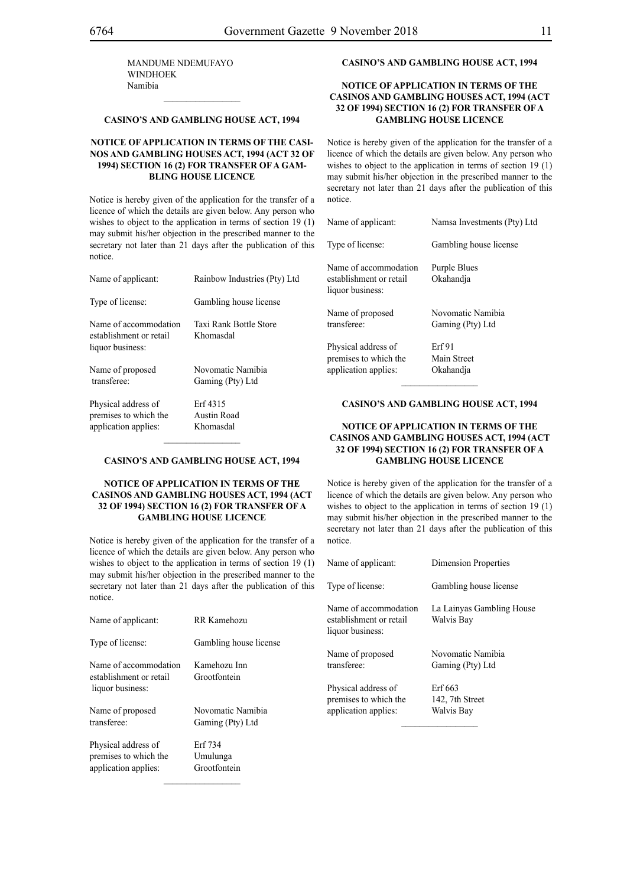MANDUME NDEMUFAYO WINDHOEK Namibia

## **CASINO'S AND GAMBLING HOUSE ACT, 1994**

 $\frac{1}{2}$ 

## **NOTICE OF APPLICATION IN TERMS OF THE CASI-NOS AND GAMBLING HOUSES ACT, 1994 (ACT 32 OF 1994) SECTION 16 (2) FOR TRANSFER OF A GAM-BLING HOUSE LICENCE**

Notice is hereby given of the application for the transfer of a licence of which the details are given below. Any person who wishes to object to the application in terms of section 19 (1) may submit his/her objection in the prescribed manner to the secretary not later than 21 days after the publication of this notice.

| Name of applicant:                                                   | Rainbow Industries (Pty) Ltd          |
|----------------------------------------------------------------------|---------------------------------------|
| Type of license:                                                     | Gambling house license                |
| Name of accommodation<br>establishment or retail<br>liquor business: | Taxi Rank Bottle Store<br>Khomasdal   |
| Name of proposed<br>transferee:                                      | Novomatic Namibia<br>Gaming (Pty) Ltd |
| Physical address of<br>premises to which the                         | Erf 4315<br>Austin Road               |

#### **CASINO'S AND GAMBLING HOUSE ACT, 1994**

 $\frac{1}{2}$ 

application applies: Khomasdal

## **NOTICE OF APPLICATION IN TERMS OF THE CASINOS AND GAMBLING HOUSES ACT, 1994 (ACT 32 OF 1994) SECTION 16 (2) FOR TRANSFER OF A GAMBLING HOUSE LICENCE**

Notice is hereby given of the application for the transfer of a licence of which the details are given below. Any person who wishes to object to the application in terms of section 19 (1) may submit his/her objection in the prescribed manner to the secretary not later than 21 days after the publication of this notice.

| Name of applicant:                                                   | RR Kamehozu                           |
|----------------------------------------------------------------------|---------------------------------------|
| Type of license:                                                     | Gambling house license                |
| Name of accommodation<br>establishment or retail<br>liquor business: | Kamehozu Inn<br>Grootfontein          |
| Name of proposed<br>transferee:                                      | Novomatic Namibia<br>Gaming (Pty) Ltd |
| Physical address of<br>premises to which the<br>application applies: | Erf 734<br>Umulunga<br>Grootfontein   |

## **CASINO'S AND GAMBLING HOUSE ACT, 1994**

## **NOTICE OF APPLICATION IN TERMS OF THE CASINOS AND GAMBLING HOUSES ACT, 1994 (ACT 32 OF 1994) SECTION 16 (2) FOR TRANSFER OF A GAMBLING HOUSE LICENCE**

Notice is hereby given of the application for the transfer of a licence of which the details are given below. Any person who wishes to object to the application in terms of section 19 (1) may submit his/her objection in the prescribed manner to the secretary not later than 21 days after the publication of this notice.

| Name of applicant:                                                   | Namsa Investments (Pty) Ltd           |
|----------------------------------------------------------------------|---------------------------------------|
| Type of license:                                                     | Gambling house license                |
| Name of accommodation<br>establishment or retail<br>liquor business: | Purple Blues<br>Okahandja             |
| Name of proposed<br>transferee:                                      | Novomatic Namibia<br>Gaming (Pty) Ltd |
| Physical address of<br>premises to which the<br>application applies: | Erf91<br>Main Street<br>Okahandia     |

#### **CASINO'S AND GAMBLING HOUSE ACT, 1994**

 $\frac{1}{2}$ 

## **NOTICE OF APPLICATION IN TERMS OF THE CASINOS AND GAMBLING HOUSES ACT, 1994 (ACT 32 OF 1994) SECTION 16 (2) FOR TRANSFER OF A GAMBLING HOUSE LICENCE**

Notice is hereby given of the application for the transfer of a licence of which the details are given below. Any person who wishes to object to the application in terms of section 19 (1) may submit his/her objection in the prescribed manner to the secretary not later than 21 days after the publication of this notice.

| Name of applicant:                                                   | <b>Dimension Properties</b>              |
|----------------------------------------------------------------------|------------------------------------------|
| Type of license:                                                     | Gambling house license                   |
| Name of accommodation<br>establishment or retail<br>liquor business: | La Lainyas Gambling House<br>Walvis Bay  |
| Name of proposed<br>transferee:                                      | Novomatic Namibia<br>Gaming (Pty) Ltd    |
| Physical address of<br>premises to which the<br>application applies: | Erf 663<br>142, 7th Street<br>Walvis Bay |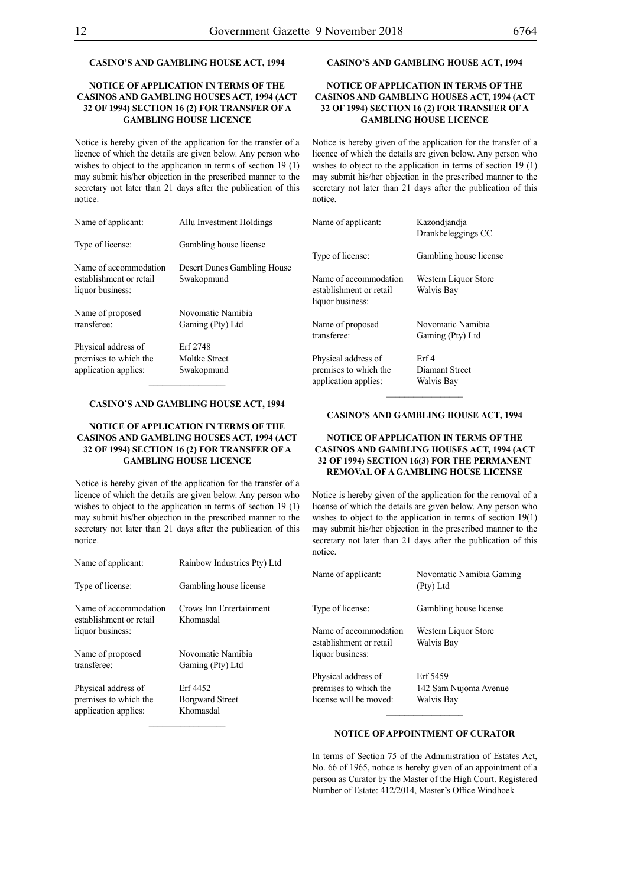## **CASINO'S AND GAMBLING HOUSE ACT, 1994**

## **NOTICE OF APPLICATION IN TERMS OF THE CASINOS AND GAMBLING HOUSES ACT, 1994 (ACT 32 OF 1994) SECTION 16 (2) FOR TRANSFER OF A GAMBLING HOUSE LICENCE**

Notice is hereby given of the application for the transfer of a licence of which the details are given below. Any person who wishes to object to the application in terms of section 19 (1) may submit his/her objection in the prescribed manner to the secretary not later than 21 days after the publication of this notice.

## **CASINO'S AND GAMBLING HOUSE ACT, 1994**

## **NOTICE OF APPLICATION IN TERMS OF THE CASINOS AND GAMBLING HOUSES ACT, 1994 (ACT 32 OF 1994) SECTION 16 (2) FOR TRANSFER OF A GAMBLING HOUSE LICENCE**

Notice is hereby given of the application for the transfer of a licence of which the details are given below. Any person who wishes to object to the application in terms of section 19 (1) may submit his/her objection in the prescribed manner to the secretary not later than 21 days after the publication of this notice.

| Name of applicant:      | Allu Investment Holdings    | Name of applicant:      | Kazondiandia<br>Drankbeleggings CC |
|-------------------------|-----------------------------|-------------------------|------------------------------------|
| Type of license:        | Gambling house license      |                         |                                    |
|                         |                             | Type of license:        | Gambling house license             |
| Name of accommodation   | Desert Dunes Gambling House |                         |                                    |
| establishment or retail | Swakopmund                  | Name of accommodation   | Western Liquor Store               |
| liquor business:        |                             | establishment or retail | Walvis Bay                         |
|                         |                             | liquor business:        |                                    |
| Name of proposed        | Novomatic Namibia           |                         |                                    |
| transferee:             | Gaming (Pty) Ltd            | Name of proposed        | Novomatic Namibia                  |
|                         |                             | transferee:             | Gaming (Pty) Ltd                   |
| Physical address of     | Erf 2748                    |                         |                                    |
| premises to which the   | Moltke Street               | Physical address of     | Erf4                               |
| application applies:    | Swakopmund                  | premises to which the   | Diamant Street                     |
|                         |                             | application applies:    | Walvis Bay                         |

#### **CASINO'S AND GAMBLING HOUSE ACT, 1994**

## **NOTICE OF APPLICATION IN TERMS OF THE CASINOS AND GAMBLING HOUSES ACT, 1994 (ACT 32 OF 1994) SECTION 16 (2) FOR TRANSFER OF A GAMBLING HOUSE LICENCE**

Notice is hereby given of the application for the transfer of a licence of which the details are given below. Any person who wishes to object to the application in terms of section 19 (1) may submit his/her objection in the prescribed manner to the secretary not later than 21 days after the publication of this notice.

| Name of applicant:                                                   | Rainbow Industries Pty) Ltd                     |
|----------------------------------------------------------------------|-------------------------------------------------|
| Type of license:                                                     | Gambling house license                          |
| Name of accommodation<br>establishment or retail<br>liquor business: | Crows Inn Entertainment<br>Khomasdal            |
| Name of proposed<br>transferee:                                      | Novomatic Namibia<br>Gaming (Pty) Ltd           |
| Physical address of<br>premises to which the<br>application applies: | Erf 4452<br><b>Borgward Street</b><br>Khomasdal |

## **CASINO'S AND GAMBLING HOUSE ACT, 1994**

## **NOTICE OF APPLICATION IN TERMS OF THE CASINOS AND GAMBLING HOUSES ACT, 1994 (ACT 32 OF 1994) SECTION 16(3) FOR THE PERMANENT REMOVAL OF A GAMBLING HOUSE LICENSE**

Notice is hereby given of the application for the removal of a license of which the details are given below. Any person who wishes to object to the application in terms of section 19(1) may submit his/her objection in the prescribed manner to the secretary not later than 21 days after the publication of this notice.

| Name of applicant:                                                     | Novomatic Namibia Gaming<br>(Pty) Ltd           |
|------------------------------------------------------------------------|-------------------------------------------------|
| Type of license:                                                       | Gambling house license                          |
| Name of accommodation<br>establishment or retail<br>liquor business:   | Western Liquor Store<br>Walvis Bay              |
| Physical address of<br>premises to which the<br>license will be moved: | Erf 5459<br>142 Sam Nujoma Avenue<br>Walvis Bay |

## **NOTICE OF APPOINTMENT OF CURATOR**

In terms of Section 75 of the Administration of Estates Act, No. 66 of 1965, notice is hereby given of an appointment of a person as Curator by the Master of the High Court. Registered Number of Estate: 412/2014, Master's Office Windhoek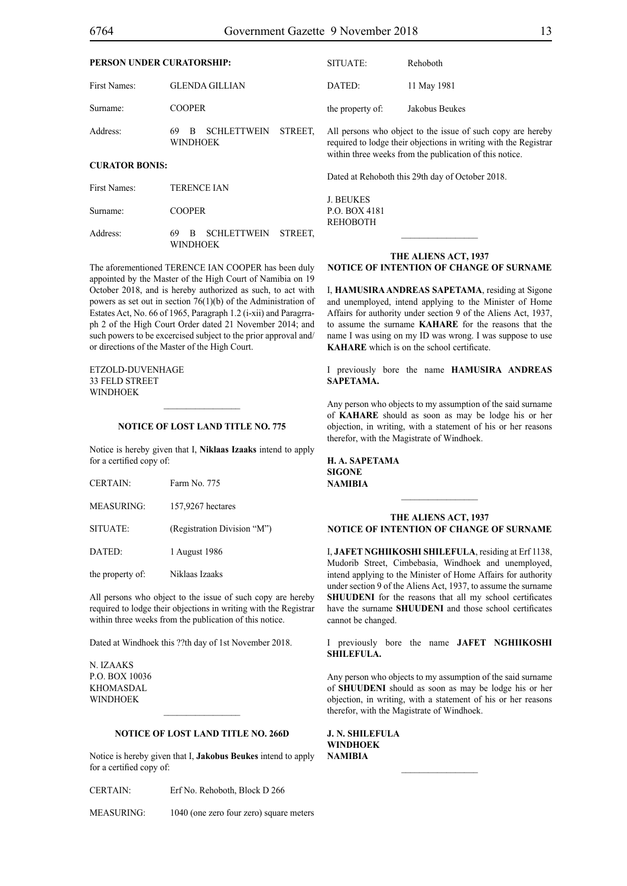| PERSON UNDER CURATORSHIP:         |                                                             | SITUATE:         | Rehoboth                                                                                                                                                                                   |
|-----------------------------------|-------------------------------------------------------------|------------------|--------------------------------------------------------------------------------------------------------------------------------------------------------------------------------------------|
| First Names:                      | <b>GLENDA GILLIAN</b>                                       | DATED:           | 11 May 1981                                                                                                                                                                                |
| Surname:                          | <b>COOPER</b>                                               | the property of: | Jakobus Beukes                                                                                                                                                                             |
| Address:<br><b>CURATOR BONIS:</b> | <b>SCHLETTWEIN</b><br>69<br>STREET.<br>B<br><b>WINDHOEK</b> |                  | All persons who object to the issue of such copy are hereby<br>required to lodge their objections in writing with the Registrar<br>within three weeks from the publication of this notice. |
|                                   |                                                             |                  | Dated at Rehoboth this 29th day of October 2018.                                                                                                                                           |
| First Names:                      | <b>TERENCE IAN</b>                                          | <b>J. BEUKES</b> |                                                                                                                                                                                            |
| Surname:                          | <b>COOPER</b>                                               | P.O. BOX 4181    |                                                                                                                                                                                            |
| Address:                          | <b>SCHLETTWEIN</b><br>69<br>B<br>STREET.<br><b>WINDHOEK</b> | <b>REHOBOTH</b>  |                                                                                                                                                                                            |

The aforementioned TERENCE IAN COOPER has been duly appointed by the Master of the High Court of Namibia on 19 October 2018, and is hereby authorized as such, to act with powers as set out in section 76(1)(b) of the Administration of Estates Act, No. 66 of 1965, Paragraph 1.2 (i-xii) and Paragrraph 2 of the High Court Order dated 21 November 2014; and such powers to be excercised subject to the prior approval and/ or directions of the Master of the High Court.

Etzold-Duvenhage 33 Feld Street **WINDHOEK** 

## **NOTICE OF LOST LAND TITLE NO. 775**

 $\frac{1}{2}$ 

Notice is hereby given that I, **Niklaas Izaaks** intend to apply for a certified copy of:

| <b>CERTAIN:</b>   | Farm No. 775                |
|-------------------|-----------------------------|
| <b>MEASURING:</b> | 157,9267 hectares           |
| SITUATE:          | (Registration Division "M") |
| DATED:            | 1 August 1986               |
|                   |                             |

the property of: Niklaas Izaaks

All persons who object to the issue of such copy are hereby required to lodge their objections in writing with the Registrar within three weeks from the publication of this notice.

Dated at Windhoek this ??th day of 1st November 2018.

N. Izaaks p.o. box 10036 **KHOMASDAL WINDHOEK** 

## **NOTICE OF LOST LAND TITLE NO. 266D**

 $\frac{1}{2}$ 

Notice is hereby given that I, **Jakobus Beukes** intend to apply for a certified copy of:

CERTAIN: Erf No. Rehoboth, Block D 266

MEASURING: 1040 (one zero four zero) square meters

## **THE ALIENS ACT, 1937 NOTICE OF INTENTION OF CHANGE OF SURNAME**

I, **hamusira andreas sapetama**, residing at Sigone and unemployed, intend applying to the Minister of Home Affairs for authority under section 9 of the Aliens Act, 1937, to assume the surname **kahare** for the reasons that the name I was using on my ID was wrong. I was suppose to use **KAHARE** which is on the school certificate.

I previously bore the name **hamusira andreas sapetama.**

Any person who objects to my assumption of the said surname of **kahare** should as soon as may be lodge his or her objection, in writing, with a statement of his or her reasons therefor, with the Magistrate of Windhoek.

**h. a. sapetama sigone NAMIBIA**

## **THE ALIENS ACT, 1937 NOTICE OF INTENTION OF CHANGE OF SURNAME**

 $\frac{1}{2}$ 

I, **jafet nghiikoshi shilefula**, residing at Erf 1138, Mudorib Street, Cimbebasia, Windhoek and unemployed, intend applying to the Minister of Home Affairs for authority under section 9 of the Aliens Act, 1937, to assume the surname **SHUUDENI** for the reasons that all my school certificates have the surname **SHUUDENI** and those school certificates cannot be changed.

I previously bore the name **jafet nghiikoshi shilefula.**

Any person who objects to my assumption of the said surname of **SHUUDENI** should as soon as may be lodge his or her objection, in writing, with a statement of his or her reasons therefor, with the Magistrate of Windhoek.

 $\frac{1}{2}$ 

**j. n. shilefula windhoek NAMIBIA**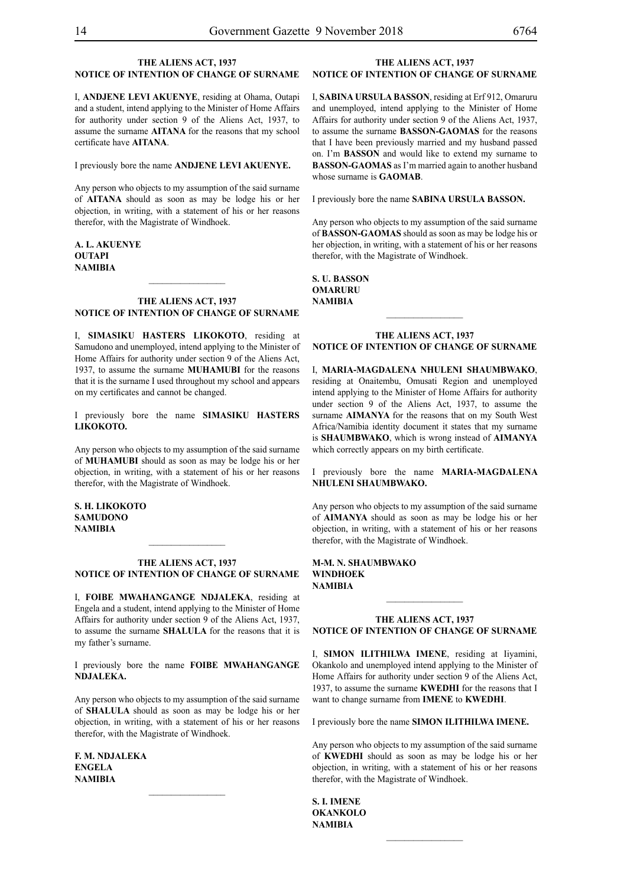## **THE ALIENS ACT, 1937 NOTICE OF INTENTION OF CHANGE OF SURNAME**

I, **andjene levI akuenye**, residing at Ohama, Outapi and a student, intend applying to the Minister of Home Affairs for authority under section 9 of the Aliens Act, 1937, to assume the surname **AITANA** for the reasons that my school certificate have **aitana**.

I previously bore the name **andjene levI akuenye.**

Any person who objects to my assumption of the said surname of **aitana** should as soon as may be lodge his or her objection, in writing, with a statement of his or her reasons therefor, with the Magistrate of Windhoek.

## **a. l. akuenye outapi NAMIBIA**

#### **THE ALIENS ACT, 1937 NOTICE OF INTENTION OF CHANGE OF SURNAME**

 $\frac{1}{2}$ 

I, **simasiku hasters likokoto**, residing at Samudono and unemployed, intend applying to the Minister of Home Affairs for authority under section 9 of the Aliens Act, 1937, to assume the surname **muhamubi** for the reasons that it is the surname I used throughout my school and appears on my certificates and cannot be changed.

I previously bore the name **simasiku hasters likokoto.**

Any person who objects to my assumption of the said surname of **muhamubi** should as soon as may be lodge his or her objection, in writing, with a statement of his or her reasons therefor, with the Magistrate of Windhoek.

**s. h. likokoto samudono NAMIBIA**

## **THE ALIENS ACT, 1937 NOTICE OF INTENTION OF CHANGE OF SURNAME**

 $\frac{1}{2}$ 

I, **foibe mwahangange ndjaleka**, residing at Engela and a student, intend applying to the Minister of Home Affairs for authority under section 9 of the Aliens Act, 1937, to assume the surname SHALULA for the reasons that it is my father's surname.

I previously bore the name **foibe mwahangange ndjaleka.**

Any person who objects to my assumption of the said surname of **shalula** should as soon as may be lodge his or her objection, in writing, with a statement of his or her reasons therefor, with the Magistrate of Windhoek.

**f. m. ndjaleka engela NAMIBIA**

## **THE ALIENS ACT, 1937 NOTICE OF INTENTION OF CHANGE OF SURNAME**

I, **sabina ursula basson**, residing at Erf 912, Omaruru and unemployed, intend applying to the Minister of Home Affairs for authority under section 9 of the Aliens Act, 1937, to assume the surname **basson-gaomas** for the reasons that I have been previously married and my husband passed on. I'm **BASSON** and would like to extend my surname to **BASSON-GAOMAS** as I'm married again to another husband whose surname is **GAOMAB**.

I previously bore the name **sabina ursula basson.**

Any person who objects to my assumption of the said surname of **BASSON-GAOMAS** should as soon as may be lodge his or her objection, in writing, with a statement of his or her reasons therefor, with the Magistrate of Windhoek.

**s. II. BASSON omaruru NAMIBIA**

#### **THE ALIENS ACT, 1937 NOTICE OF INTENTION OF CHANGE OF SURNAME**

I, **maria-magdalena nhuleni shaumbwako**, residing at Onaitembu, Omusati Region and unemployed intend applying to the Minister of Home Affairs for authority under section 9 of the Aliens Act, 1937, to assume the surname **AIMANYA** for the reasons that on my South West Africa/Namibia identity document it states that my surname is **SHAUMBWAKO**, which is wrong instead of **AIMANYA** which correctly appears on my birth certificate.

I previously bore the name **MARIA-MAGDALENA nhuleni shaumbwako.**

Any person who objects to my assumption of the said surname of **aimanya** should as soon as may be lodge his or her objection, in writing, with a statement of his or her reasons therefor, with the Magistrate of Windhoek.

**m-m. n. shaumbwako windhoek NAMIBIA**

## **THE ALIENS ACT, 1937 NOTICE OF INTENTION OF CHANGE OF SURNAME**

 $\frac{1}{2}$ 

I, **simon ilithilwa imene**, residing at Iiyamini, Okankolo and unemployed intend applying to the Minister of Home Affairs for authority under section 9 of the Aliens Act, 1937, to assume the surname **kwedhi** for the reasons that I want to change surname from **IMENE** to **KWEDHI**.

I previously bore the name **simon ilithilwa imene.**

Any person who objects to my assumption of the said surname of **KWEDHI** should as soon as may be lodge his or her objection, in writing, with a statement of his or her reasons therefor, with the Magistrate of Windhoek.

 $\frac{1}{2}$ 

**s. i. imene okankolo NAMIBIA**